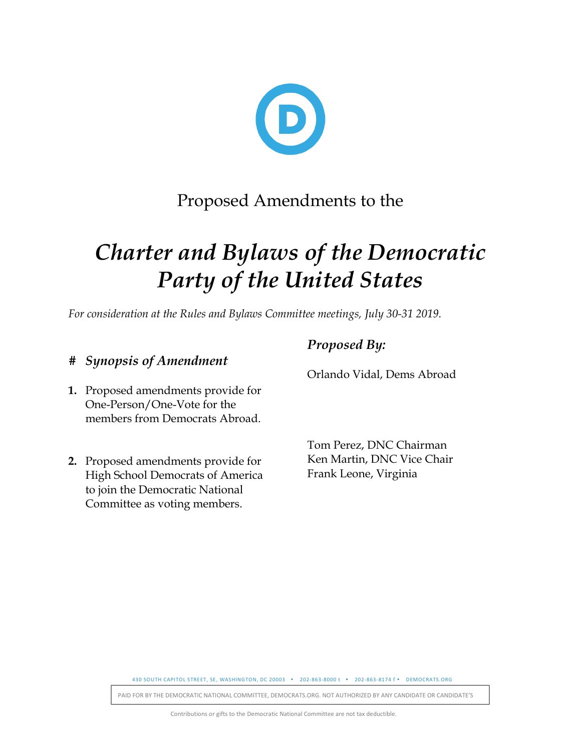

## Proposed Amendments to the

# *Charter and Bylaws of the Democratic Party of the United States*

*For consideration at the Rules and Bylaws Committee meetings, July 30-31 2019.*

## *# Synopsis of Amendment*

- **1.** Proposed amendments provide for One-Person/One-Vote for the members from Democrats Abroad.
- **2.** Proposed amendments provide for High School Democrats of America to join the Democratic National Committee as voting members.

## **Proposed By:**

Orlando Vidal, Dems Abroad

Tom Perez, DNC Chairman Ken Martin, DNC Vice Chair Frank Leone, Virginia

430 SOUTH CAPITOL STREET, SE, WASHINGTON, DC 20003 . 202-863-8000 t . 202-863-8174 f . DEMOCRATS.ORG

PAID FOR BY THE DEMOCRATIC NATIONAL COMMITTEE, DEMOCRATS.ORG. NOT AUTHORIZED BY ANY CANDIDATE OR CANDIDATE'S

Contributions or gifts to the Democratic National Committee are not tax deductible.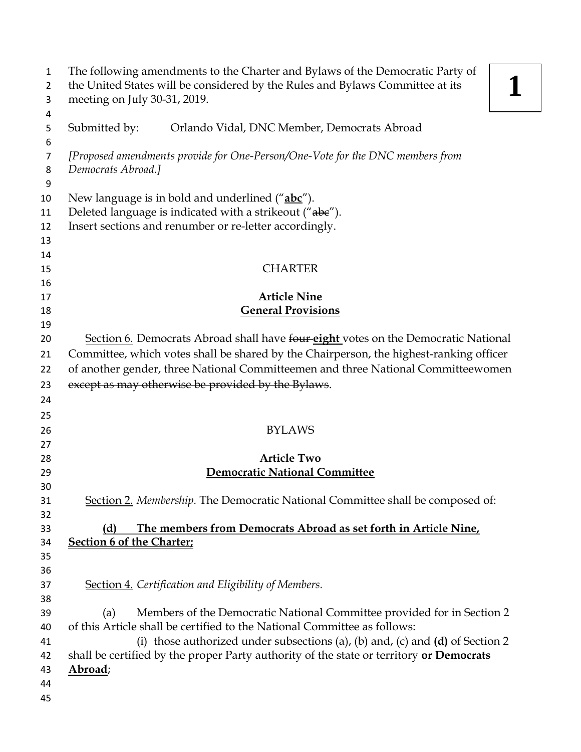| 1        | The following amendments to the Charter and Bylaws of the Democratic Party of                        |
|----------|------------------------------------------------------------------------------------------------------|
| 2        | the United States will be considered by the Rules and Bylaws Committee at its                        |
| 3        | meeting on July 30-31, 2019.                                                                         |
| 4<br>5   | Submitted by:<br>Orlando Vidal, DNC Member, Democrats Abroad                                         |
| 6        |                                                                                                      |
| 7        | [Proposed amendments provide for One-Person/One-Vote for the DNC members from                        |
| 8        | Democrats Abroad.]                                                                                   |
| 9        |                                                                                                      |
| 10       | New language is in bold and underlined ("abc").                                                      |
| 11       | Deleted language is indicated with a strikeout ("abe").                                              |
| 12       | Insert sections and renumber or re-letter accordingly.                                               |
| 13       |                                                                                                      |
| 14       |                                                                                                      |
| 15       | <b>CHARTER</b>                                                                                       |
| 16       |                                                                                                      |
| 17       | <b>Article Nine</b>                                                                                  |
| 18       | <b>General Provisions</b>                                                                            |
| 19       |                                                                                                      |
| 20       | Section 6. Democrats Abroad shall have four eight votes on the Democratic National                   |
| 21       | Committee, which votes shall be shared by the Chairperson, the highest-ranking officer               |
| 22       | of another gender, three National Committeemen and three National Committeewomen                     |
| 23       | except as may otherwise be provided by the Bylaws.                                                   |
| 24       |                                                                                                      |
| 25       |                                                                                                      |
| 26       | <b>BYLAWS</b>                                                                                        |
| 27       |                                                                                                      |
| 28       | <b>Article Two</b>                                                                                   |
| 29       | <b>Democratic National Committee</b>                                                                 |
| 30       |                                                                                                      |
| 31       | Section 2. Membership. The Democratic National Committee shall be composed of:                       |
| 32       |                                                                                                      |
| 33       | The members from Democrats Abroad as set forth in Article Nine,<br>(d)                               |
| 34       | <b>Section 6 of the Charter;</b>                                                                     |
| 35       |                                                                                                      |
| 36       |                                                                                                      |
| 37       | Section 4. Certification and Eligibility of Members.                                                 |
| 38       |                                                                                                      |
| 39       | Members of the Democratic National Committee provided for in Section 2<br>(a)                        |
| 40       | of this Article shall be certified to the National Committee as follows:                             |
| 41       | (i) those authorized under subsections (a), (b) $\frac{d}{dx}$ , (c) and $\frac{d}{dx}$ of Section 2 |
| 42       | shall be certified by the proper Party authority of the state or territory or Democrats              |
| 43       | Abroad;                                                                                              |
| 44<br>45 |                                                                                                      |
|          |                                                                                                      |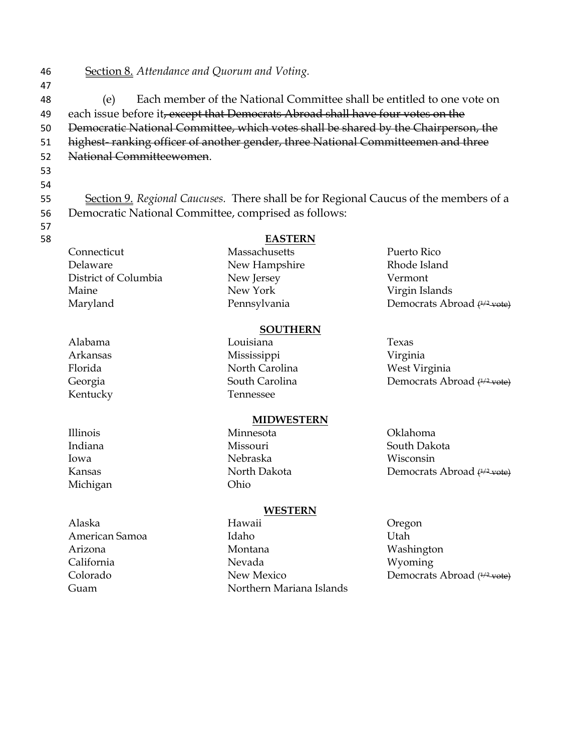46 Section 8. *Attendance and Quorum and Voting.* 47 48 (e) Each member of the National Committee shall be entitled to one vote on 49 each issue before it, except that Democrats Abroad shall have four votes on the 50 Democratic National Committee, which votes shall be shared by the Chairperson, the 51 highest- ranking officer of another gender, three National Committeemen and three 52 National Committeewomen. 53 54 55 Section 9. *Regional Caucuses.* There shall be for Regional Caucus of the members of a

- 56 Democratic National Committee, comprised as follows:
- 57 58 **EASTERN**

Connecticut Delaware District of Columbia Maine Maryland

Alabama Arkansas Florida Georgia Kentucky

Illinois Indiana Iowa Kansas Michigan

Alaska

Arizona California Colorado Guam

American Samoa

Massachusetts New Hampshire

New Jersey New York Pennsylvania Puerto Rico Rhode Island Vermont Virgin Islands Democrats Abroad <del>(1/2 vote)</del>

### **SOUTHERN**

Louisiana Mississippi North Carolina South Carolina Tennessee Texas Virginia West Virginia Democrats Abroad (<sup>1/2</sup> vote)

#### **MIDWESTERN**

Minnesota Missouri Nebraska North Dakota Ohio

#### **WESTERN**

- Hawaii Idaho Montana Nevada New Mexico Northern Mariana Islands
- Oklahoma South Dakota Wisconsin Democrats Abroad <del>(1/2 vote)</del>
- Oregon Utah Washington Wyoming Democrats Abroad (<del>1/2 vote)</del>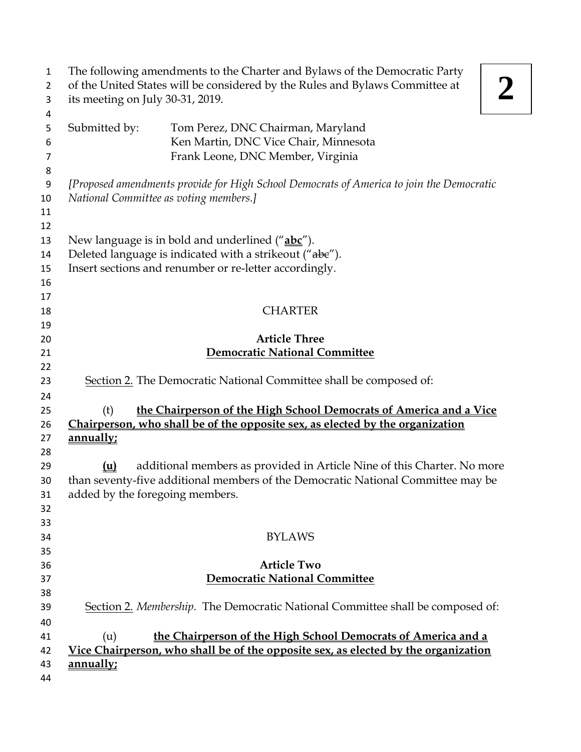| 1<br>$\overline{2}$           |                                                      | The following amendments to the Charter and Bylaws of the Democratic Party<br>of the United States will be considered by the Rules and Bylaws Committee at           |  |
|-------------------------------|------------------------------------------------------|----------------------------------------------------------------------------------------------------------------------------------------------------------------------|--|
| 3<br>4                        | its meeting on July 30-31, 2019.                     |                                                                                                                                                                      |  |
| 5<br>6<br>$\overline{7}$<br>8 | Submitted by:                                        | Tom Perez, DNC Chairman, Maryland<br>Ken Martin, DNC Vice Chair, Minnesota<br>Frank Leone, DNC Member, Virginia                                                      |  |
| 9<br>10<br>11<br>12           |                                                      | [Proposed amendments provide for High School Democrats of America to join the Democratic<br>National Committee as voting members.]                                   |  |
| 13<br>14<br>15<br>16<br>17    |                                                      | New language is in bold and underlined ("abc").<br>Deleted language is indicated with a strikeout ("abe").<br>Insert sections and renumber or re-letter accordingly. |  |
| 18<br>19                      |                                                      | <b>CHARTER</b>                                                                                                                                                       |  |
| 20                            |                                                      | <b>Article Three</b>                                                                                                                                                 |  |
| 21                            |                                                      | <b>Democratic National Committee</b>                                                                                                                                 |  |
| 22                            |                                                      |                                                                                                                                                                      |  |
| 23<br>24                      |                                                      | Section 2. The Democratic National Committee shall be composed of:                                                                                                   |  |
| 25                            | (t)                                                  | the Chairperson of the High School Democrats of America and a Vice                                                                                                   |  |
| 26                            |                                                      | Chairperson, who shall be of the opposite sex, as elected by the organization                                                                                        |  |
| 27                            | annually;                                            |                                                                                                                                                                      |  |
| 28                            |                                                      |                                                                                                                                                                      |  |
| 29<br>30<br>31<br>32<br>33    | $(\underline{u})$<br>added by the foregoing members. | additional members as provided in Article Nine of this Charter. No more<br>than seventy-five additional members of the Democratic National Committee may be          |  |
| 34                            |                                                      | <b>BYLAWS</b>                                                                                                                                                        |  |
| 35                            |                                                      |                                                                                                                                                                      |  |
| 36                            |                                                      | <b>Article Two</b>                                                                                                                                                   |  |
| 37                            |                                                      | <b>Democratic National Committee</b>                                                                                                                                 |  |
| 38<br>39                      |                                                      | Section 2. Membership. The Democratic National Committee shall be composed of:                                                                                       |  |
| 40<br>41<br>42<br>43          | (u)<br>annually;                                     | the Chairperson of the High School Democrats of America and a<br>Vice Chairperson, who shall be of the opposite sex, as elected by the organization                  |  |
| 44                            |                                                      |                                                                                                                                                                      |  |